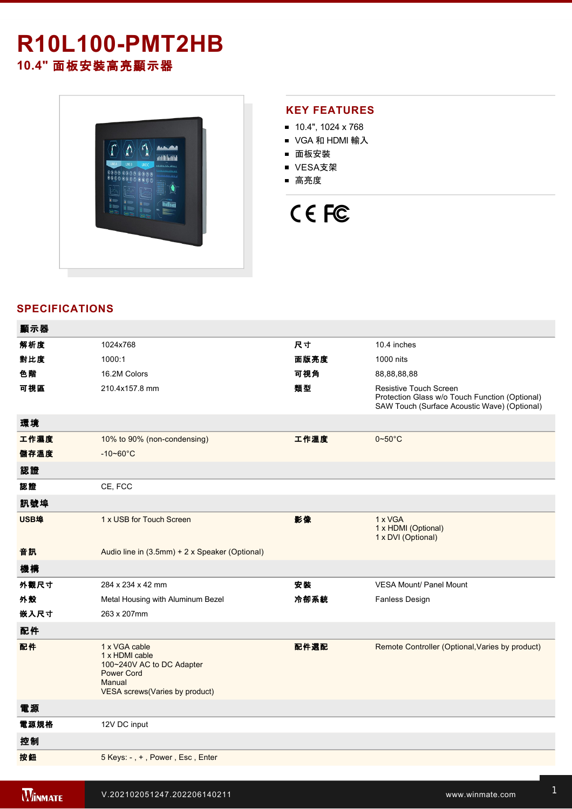# **R10L100-PMT2HB**

**10.4"** 面板安裝高亮顯示器



#### **KEY FEATURES**

- 10.4", 1024 x 768
- VGA 和 HDMI 輸入
- 面板安裝
- VESA支架
- 高亮度

## CE FC

### **SPECIFICATIONS**

| 顯示器  |                                                                                                                               |      |                                                                                                                          |
|------|-------------------------------------------------------------------------------------------------------------------------------|------|--------------------------------------------------------------------------------------------------------------------------|
| 解析度  | 1024x768                                                                                                                      | 尺寸   | 10.4 inches                                                                                                              |
| 對比度  | 1000:1                                                                                                                        | 面版亮度 | 1000 nits                                                                                                                |
| 色階   | 16.2M Colors                                                                                                                  | 可視角  | 88, 88, 88, 88                                                                                                           |
| 可視區  | 210.4x157.8 mm                                                                                                                | 類型   | Resistive Touch Screen<br>Protection Glass w/o Touch Function (Optional)<br>SAW Touch (Surface Acoustic Wave) (Optional) |
| 環境   |                                                                                                                               |      |                                                                                                                          |
| 工作濕度 | 10% to 90% (non-condensing)                                                                                                   | 工作溫度 | $0 - 50$ °C                                                                                                              |
| 儲存溫度 | $-10 - 60^{\circ}$ C                                                                                                          |      |                                                                                                                          |
| 認證   |                                                                                                                               |      |                                                                                                                          |
| 認證   | CE, FCC                                                                                                                       |      |                                                                                                                          |
| 訊號埠  |                                                                                                                               |      |                                                                                                                          |
| USB埠 | 1 x USB for Touch Screen                                                                                                      | 影像   | 1 x VGA<br>1 x HDMI (Optional)<br>1 x DVI (Optional)                                                                     |
| 音訊   | Audio line in (3.5mm) + 2 x Speaker (Optional)                                                                                |      |                                                                                                                          |
| 機構   |                                                                                                                               |      |                                                                                                                          |
| 外觀尺寸 | 284 x 234 x 42 mm                                                                                                             | 安裝   | <b>VESA Mount/ Panel Mount</b>                                                                                           |
| 外殼   | Metal Housing with Aluminum Bezel                                                                                             | 冷卻系統 | Fanless Design                                                                                                           |
| 嵌入尺寸 | 263 x 207mm                                                                                                                   |      |                                                                                                                          |
| 配件   |                                                                                                                               |      |                                                                                                                          |
| 配件   | 1 x VGA cable<br>1 x HDMI cable<br>100~240V AC to DC Adapter<br><b>Power Cord</b><br>Manual<br>VESA screws(Varies by product) | 配件選配 | Remote Controller (Optional, Varies by product)                                                                          |
| 電源   |                                                                                                                               |      |                                                                                                                          |
| 電源規格 | 12V DC input                                                                                                                  |      |                                                                                                                          |
| 控制   |                                                                                                                               |      |                                                                                                                          |
| 按鈕   | 5 Keys: -, +, Power, Esc, Enter                                                                                               |      |                                                                                                                          |
|      |                                                                                                                               |      |                                                                                                                          |

**Windows 2002 Property Construction 200**